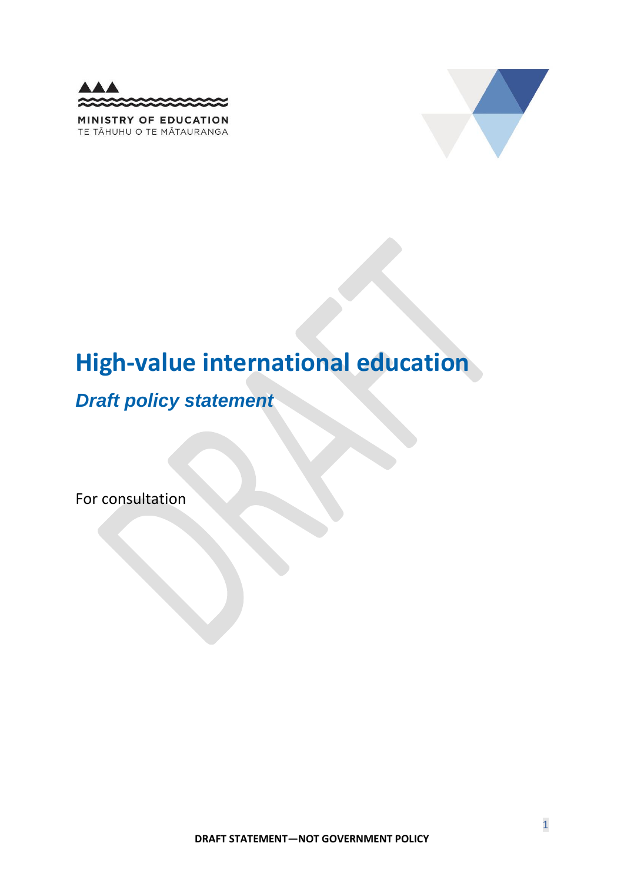



# **High-value international education**

## *Draft policy statement*

For consultation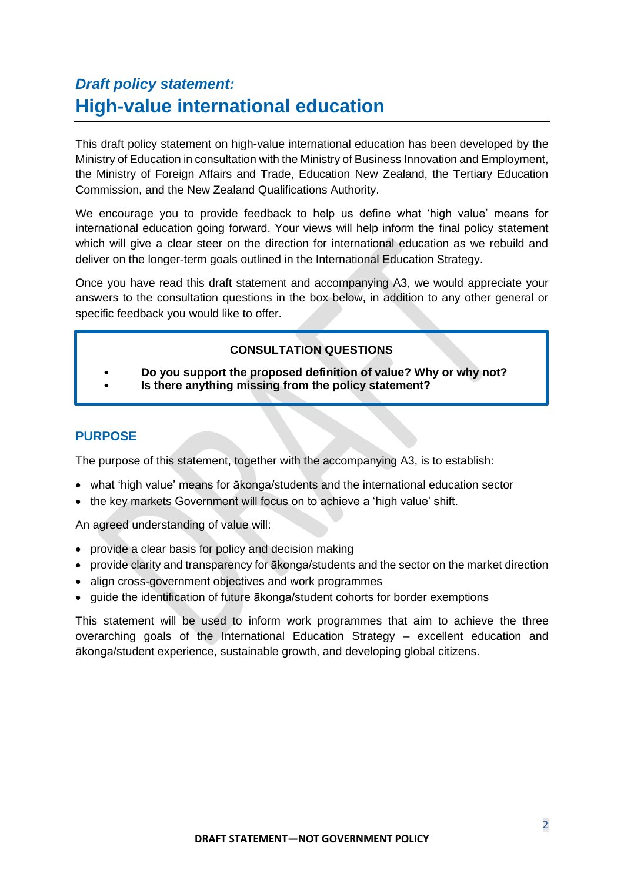### *Draft policy statement:*  **High-value international education**

This draft policy statement on high-value international education has been developed by the Ministry of Education in consultation with the Ministry of Business Innovation and Employment, the Ministry of Foreign Affairs and Trade, Education New Zealand, the Tertiary Education Commission, and the New Zealand Qualifications Authority.

We encourage you to provide feedback to help us define what 'high value' means for international education going forward. Your views will help inform the final policy statement which will give a clear steer on the direction for international education as we rebuild and deliver on the longer-term goals outlined in the International Education Strategy.

Once you have read this draft statement and accompanying A3, we would appreciate your answers to the consultation questions in the box below, in addition to any other general or specific feedback you would like to offer.

#### **CONSULTATION QUESTIONS**

- **Do you support the proposed definition of value? Why or why not?**
- **Is there anything missing from the policy statement?**

#### **PURPOSE**

The purpose of this statement, together with the accompanying A3, is to establish:

- what 'high value' means for ākonga/students and the international education sector
- the key markets Government will focus on to achieve a 'high value' shift.

An agreed understanding of value will:

- provide a clear basis for policy and decision making
- provide clarity and transparency for ākonga/students and the sector on the market direction
- align cross-government objectives and work programmes
- guide the identification of future ākonga/student cohorts for border exemptions

This statement will be used to inform work programmes that aim to achieve the three overarching goals of the International Education Strategy – excellent education and ākonga/student experience, sustainable growth, and developing global citizens.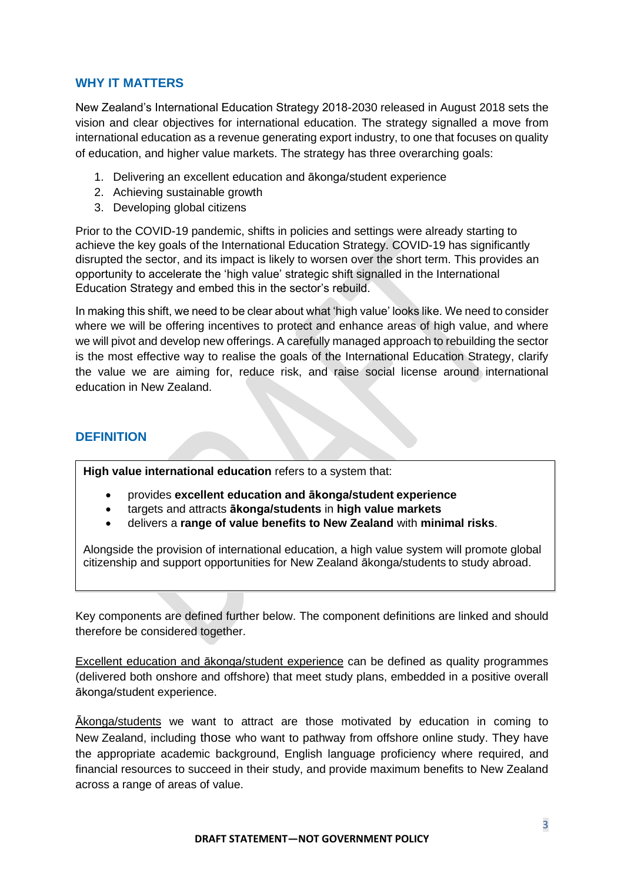#### **WHY IT MATTERS**

New Zealand's International Education Strategy 2018-2030 released in August 2018 sets the vision and clear objectives for international education. The strategy signalled a move from international education as a revenue generating export industry, to one that focuses on quality of education, and higher value markets. The strategy has three overarching goals:

- 1. Delivering an excellent education and ākonga/student experience
- 2. Achieving sustainable growth
- 3. Developing global citizens

Prior to the COVID-19 pandemic, shifts in policies and settings were already starting to achieve the key goals of the International Education Strategy. COVID-19 has significantly disrupted the sector, and its impact is likely to worsen over the short term. This provides an opportunity to accelerate the 'high value' strategic shift signalled in the International Education Strategy and embed this in the sector's rebuild.

In making this shift, we need to be clear about what 'high value' looks like. We need to consider where we will be offering incentives to protect and enhance areas of high value, and where we will pivot and develop new offerings. A carefully managed approach to rebuilding the sector is the most effective way to realise the goals of the International Education Strategy, clarify the value we are aiming for, reduce risk, and raise social license around international education in New Zealand.

#### **DEFINITION**

**High value international education** refers to a system that:

- provides **excellent education and ākonga/student experience**
- targets and attracts **ākonga/students** in **high value markets**
- delivers a **range of value benefits to New Zealand** with **minimal risks**.

Alongside the provision of international education, a high value system will promote global citizenship and support opportunities for New Zealand ākonga/students to study abroad.

Key components are defined further below. The component definitions are linked and should therefore be considered together.

Excellent education and ākonga/student experience can be defined as quality programmes (delivered both onshore and offshore) that meet study plans, embedded in a positive overall ākonga/student experience.

Ākonga/students we want to attract are those motivated by education in coming to New Zealand, including those who want to pathway from offshore online study. They have the appropriate academic background, English language proficiency where required, and financial resources to succeed in their study, and provide maximum benefits to New Zealand across a range of areas of value.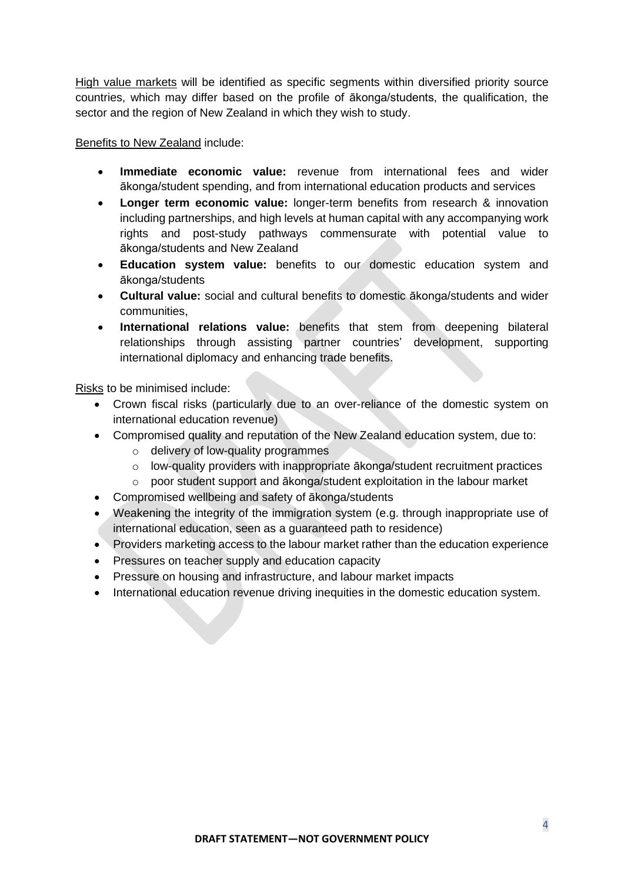High value markets will be identified as specific segments within diversified priority source countries, which may differ based on the profile of ākonga/students, the qualification, the sector and the region of New Zealand in which they wish to study.

Benefits to New Zealand include:

- **Immediate economic value:** revenue from international fees and wider ākonga/student spending, and from international education products and services
- **Longer term economic value:** longer-term benefits from research & innovation including partnerships, and high levels at human capital with any accompanying work rights and post-study pathways commensurate with potential value to ākonga/students and New Zealand
- **Education system value:** benefits to our domestic education system and ākonga/students
- **Cultural value:** social and cultural benefits to domestic ākonga/students and wider communities,
- **International relations value:** benefits that stem from deepening bilateral relationships through assisting partner countries' development, supporting international diplomacy and enhancing trade benefits.

Risks to be minimised include:

- Crown fiscal risks (particularly due to an over-reliance of the domestic system on international education revenue)
- Compromised quality and reputation of the New Zealand education system, due to:
	- o delivery of low-quality programmes
	- o low-quality providers with inappropriate ākonga/student recruitment practices
	- o poor student support and ākonga/student exploitation in the labour market
- Compromised wellbeing and safety of ākonga/students
- Weakening the integrity of the immigration system (e.g. through inappropriate use of international education, seen as a guaranteed path to residence)
- Providers marketing access to the labour market rather than the education experience
- Pressures on teacher supply and education capacity
- Pressure on housing and infrastructure, and labour market impacts
- International education revenue driving inequities in the domestic education system.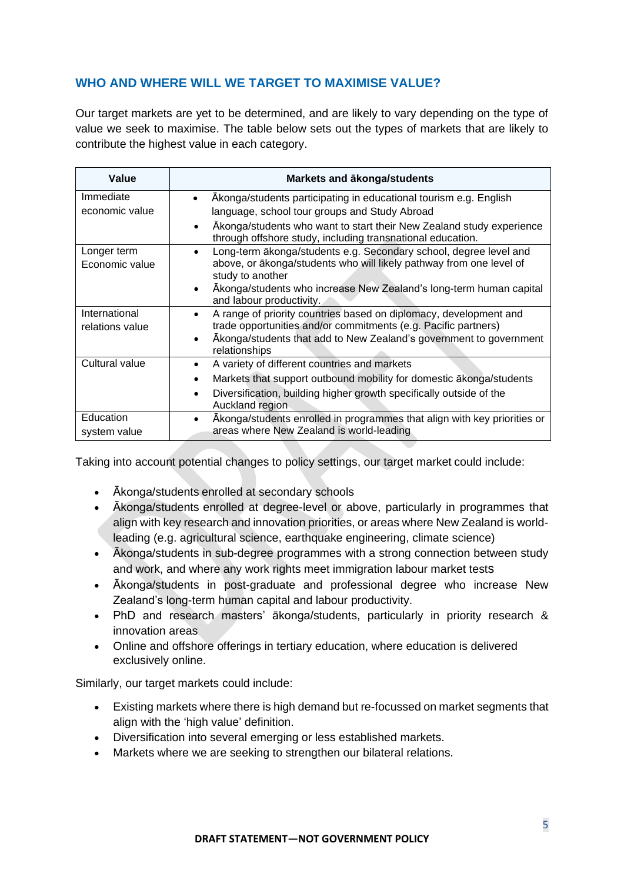#### **WHO AND WHERE WILL WE TARGET TO MAXIMISE VALUE?**

Our target markets are yet to be determined, and are likely to vary depending on the type of value we seek to maximise. The table below sets out the types of markets that are likely to contribute the highest value in each category.

| Value           | Markets and akonga/students                                                                                                        |
|-----------------|------------------------------------------------------------------------------------------------------------------------------------|
| Immediate       | Akonga/students participating in educational tourism e.g. English                                                                  |
| economic value  | language, school tour groups and Study Abroad                                                                                      |
|                 | Akonga/students who want to start their New Zealand study experience<br>through offshore study, including transnational education. |
| Longer term     | Long-term äkonga/students e.g. Secondary school, degree level and                                                                  |
| Economic value  | above, or ākonga/students who will likely pathway from one level of<br>study to another                                            |
|                 | Akonga/students who increase New Zealand's long-term human capital                                                                 |
|                 | and labour productivity.                                                                                                           |
| International   | A range of priority countries based on diplomacy, development and                                                                  |
| relations value | trade opportunities and/or commitments (e.g. Pacific partners)                                                                     |
|                 | Akonga/students that add to New Zealand's government to government<br>relationships                                                |
| Cultural value  | A variety of different countries and markets<br>$\bullet$                                                                          |
|                 | Markets that support outbound mobility for domestic akonga/students<br>$\bullet$                                                   |
|                 | Diversification, building higher growth specifically outside of the<br>$\bullet$<br>Auckland region                                |
| Education       | Akonga/students enrolled in programmes that align with key priorities or                                                           |
| system value    | areas where New Zealand is world-leading                                                                                           |

Taking into account potential changes to policy settings, our target market could include:

- Ākonga/students enrolled at secondary schools
- Ākonga/students enrolled at degree-level or above, particularly in programmes that align with key research and innovation priorities, or areas where New Zealand is worldleading (e.g. agricultural science, earthquake engineering, climate science)
- Ākonga/students in sub-degree programmes with a strong connection between study and work, and where any work rights meet immigration labour market tests
- Ākonga/students in post-graduate and professional degree who increase New Zealand's long-term human capital and labour productivity.
- PhD and research masters' ākonga/students, particularly in priority research & innovation areas
- Online and offshore offerings in tertiary education, where education is delivered exclusively online.

Similarly, our target markets could include:

- Existing markets where there is high demand but re-focussed on market segments that align with the 'high value' definition.
- Diversification into several emerging or less established markets.
- Markets where we are seeking to strengthen our bilateral relations.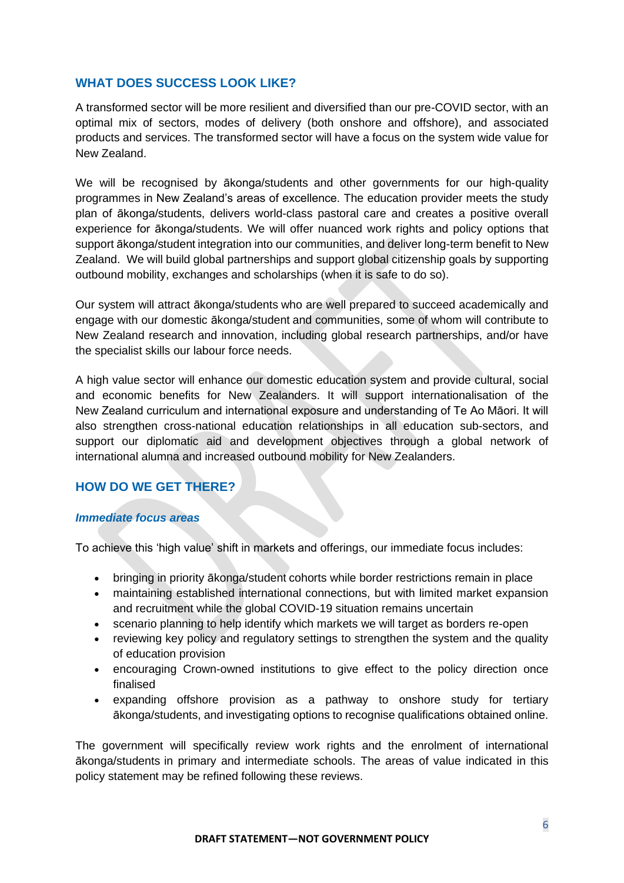#### **WHAT DOES SUCCESS LOOK LIKE?**

A transformed sector will be more resilient and diversified than our pre-COVID sector, with an optimal mix of sectors, modes of delivery (both onshore and offshore), and associated products and services. The transformed sector will have a focus on the system wide value for New Zealand.

We will be recognised by ākonga/students and other governments for our high-quality programmes in New Zealand's areas of excellence. The education provider meets the study plan of ākonga/students, delivers world-class pastoral care and creates a positive overall experience for ākonga/students. We will offer nuanced work rights and policy options that support ākonga/student integration into our communities, and deliver long-term benefit to New Zealand. We will build global partnerships and support global citizenship goals by supporting outbound mobility, exchanges and scholarships (when it is safe to do so).

Our system will attract ākonga/students who are well prepared to succeed academically and engage with our domestic ākonga/student and communities, some of whom will contribute to New Zealand research and innovation, including global research partnerships, and/or have the specialist skills our labour force needs.

A high value sector will enhance our domestic education system and provide cultural, social and economic benefits for New Zealanders. It will support internationalisation of the New Zealand curriculum and international exposure and understanding of Te Ao Māori. It will also strengthen cross-national education relationships in all education sub-sectors, and support our diplomatic aid and development objectives through a global network of international alumna and increased outbound mobility for New Zealanders.

#### **HOW DO WE GET THERE?**

#### *Immediate focus areas*

To achieve this 'high value' shift in markets and offerings, our immediate focus includes:

- bringing in priority ākonga/student cohorts while border restrictions remain in place
- maintaining established international connections, but with limited market expansion and recruitment while the global COVID-19 situation remains uncertain
- scenario planning to help identify which markets we will target as borders re-open
- reviewing key policy and regulatory settings to strengthen the system and the quality of education provision
- encouraging Crown-owned institutions to give effect to the policy direction once finalised
- expanding offshore provision as a pathway to onshore study for tertiary ākonga/students, and investigating options to recognise qualifications obtained online.

The government will specifically review work rights and the enrolment of international ākonga/students in primary and intermediate schools. The areas of value indicated in this policy statement may be refined following these reviews.